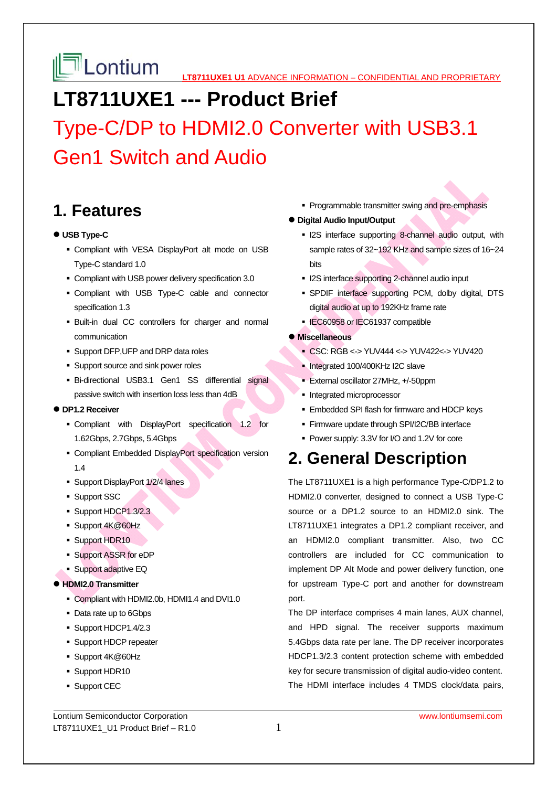# **LT8711UXE1 --- Product Brief**

Type-C/DP to HDMI2.0 Converter with USB3.1 Gen1 Switch and Audio

# **1. Features**

## **USB Type-C**

- Compliant with VESA DisplayPort alt mode on USB Type-C standard 1.0
- Compliant with USB power delivery specification 3.0
- Compliant with USB Type-C cable and connector specification 1.3
- Built-in dual CC controllers for charger and normal communication
- **Support DFP, UFP and DRP data roles**
- **Support source and sink power roles**
- Bi-directional USB3.1 Gen1 SS differential signal passive switch with insertion loss less than 4dB

#### **DP1.2 Receiver**

- Compliant with DisplayPort specification 1.2 for 1.62Gbps, 2.7Gbps, 5.4Gbps
- Compliant Embedded DisplayPort specification version 1.4
- Support DisplayPort 1/2/4 lanes
- **Support SSC**
- Support HDCP1.3/2.3
- Support 4K@60Hz
- **Support HDR10**
- Support ASSR for eDP
- **Support adaptive EQ**

#### **HDMI2.0 Transmitter**

- Compliant with HDMI2.0b, HDMI1.4 and DVI1.0
- Data rate up to 6Gbps
- Support HDCP1.4/2.3
- **Support HDCP repeater**
- Support 4K@60Hz
- **Support HDR10**
- **Support CEC**

**Programmable transmitter swing and pre-emphasis** 

#### **Digital Audio Input/Output**

- **I2S** interface supporting 8-channel audio output, with sample rates of 32~192 KHz and sample sizes of 16~24 bits
- **I2S interface supporting 2-channel audio input**
- SPDIF interface supporting PCM, dolby digital, DTS digital audio at up to 192KHz frame rate
- **IEC60958 or IEC61937 compatible**
- **Miscellaneous** 
	- CSC: RGB <-> YUV444 <-> YUV422<-> YUV420
	- Integrated 100/400KHz I2C slave
	- External oscillator 27MHz, +/-50ppm
	- Integrated microprocessor
	- **Embedded SPI flash for firmware and HDCP keys**
	- **Firmware update through SPI/I2C/BB interface**
	- Power supply: 3.3V for I/O and 1.2V for core

# **2. General Description**

The LT8711UXE1 is a high performance Type-C/DP1.2 to HDMI2.0 converter, designed to connect a USB Type-C source or a DP1.2 source to an HDMI2.0 sink. The LT8711UXE1 integrates a DP1.2 compliant receiver, and an HDMI2.0 compliant transmitter. Also, two CC controllers are included for CC communication to implement DP Alt Mode and power delivery function, one for upstream Type-C port and another for downstream port.

The DP interface comprises 4 main lanes, AUX channel, and HPD signal. The receiver supports maximum 5.4Gbps data rate per lane. The DP receiver incorporates HDCP1.3/2.3 content protection scheme with embedded key for secure transmission of digital audio-video content. The HDMI interface includes 4 TMDS clock/data pairs,

Lontium Semiconductor Corporation www.lontiumsemi.com LT8711UXE1\_U1 Product Brief  $- R1.0$  1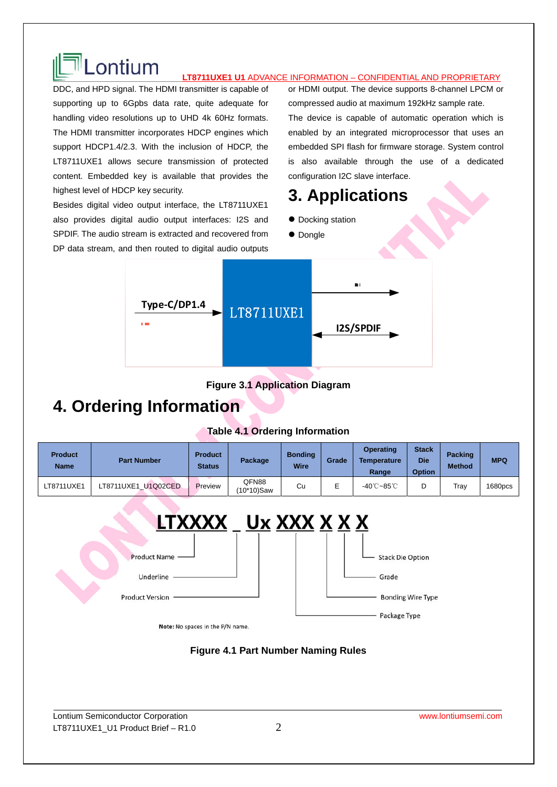# LONTIUM **LTB711UXE1 U1 ADVANCE INFORMATION – CONFIDENTIAL AND PROPRIETARY**

DDC, and HPD signal. The HDMI transmitter is capable of supporting up to 6Gpbs data rate, quite adequate for handling video resolutions up to UHD 4k 60Hz formats. The HDMI transmitter incorporates HDCP engines which support HDCP1.4/2.3. With the inclusion of HDCP, the LT8711UXE1 allows secure transmission of protected content. Embedded key is available that provides the highest level of HDCP key security.

Besides digital video output interface, the LT8711UXE1 also provides digital audio output interfaces: I2S and SPDIF. The audio stream is extracted and recovered from DP data stream, and then routed to digital audio outputs or HDMI output. The device supports 8-channel LPCM or compressed audio at maximum 192kHz sample rate. The device is capable of automatic operation which is enabled by an integrated microprocessor that uses an embedded SPI flash for firmware storage. System control is also available through the use of a dedicated configuration I2C slave interface.

# **3. Applications**

- $\bullet$  Docking station
- Dongle



## **Figure 3.1 Application Diagram**

# **4. Ordering Information**

## **Table 4.1 Ordering Information**

| <b>Product</b><br><b>Name</b> | <b>Part Number</b>  | <b>Product</b><br><b>Status</b> | Package                | <b>Bonding</b><br>Wire | Grade | <b>Operating</b><br><b>Temperature</b><br>Range | <b>Stack</b><br><b>Die</b><br><b>Option</b> | <b>Packing</b><br><b>Method</b> | <b>MPQ</b> |
|-------------------------------|---------------------|---------------------------------|------------------------|------------------------|-------|-------------------------------------------------|---------------------------------------------|---------------------------------|------------|
| LT8711UXE1                    | LT8711UXE1 U1Q02CED | Preview                         | QFN88<br>$(10*10)$ Saw | Cu                     | ∽     | -40℃~85℃                                        |                                             | Tray                            | 1680pcs    |



## **Figure 4.1 Part Number Naming Rules**